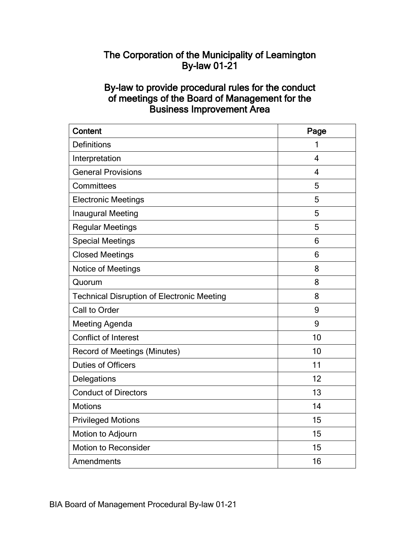# The Corporation of the Municipality of Leamington By-law 01-21

# By-law to provide procedural rules for the conduct of meetings of the Board of Management for the Business Improvement Area

| <b>Content</b>                                    | Page |
|---------------------------------------------------|------|
| <b>Definitions</b>                                | 1    |
| Interpretation                                    | 4    |
| <b>General Provisions</b>                         | 4    |
| Committees                                        | 5    |
| <b>Electronic Meetings</b>                        | 5    |
| Inaugural Meeting                                 | 5    |
| <b>Regular Meetings</b>                           | 5    |
| <b>Special Meetings</b>                           | 6    |
| <b>Closed Meetings</b>                            | 6    |
| Notice of Meetings                                | 8    |
| Quorum                                            | 8    |
| <b>Technical Disruption of Electronic Meeting</b> | 8    |
| Call to Order                                     | 9    |
| <b>Meeting Agenda</b>                             | 9    |
| <b>Conflict of Interest</b>                       | 10   |
| <b>Record of Meetings (Minutes)</b>               | 10   |
| <b>Duties of Officers</b>                         | 11   |
| Delegations                                       | 12   |
| <b>Conduct of Directors</b>                       | 13   |
| <b>Motions</b>                                    | 14   |
| <b>Privileged Motions</b>                         | 15   |
| Motion to Adjourn                                 | 15   |
| <b>Motion to Reconsider</b>                       | 15   |
| Amendments                                        | 16   |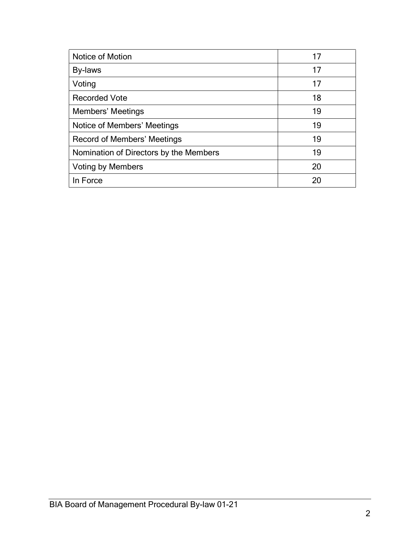| Notice of Motion                       | 17 |
|----------------------------------------|----|
| By-laws                                | 17 |
| Voting                                 | 17 |
| <b>Recorded Vote</b>                   | 18 |
| Members' Meetings                      | 19 |
| Notice of Members' Meetings            | 19 |
| Record of Members' Meetings            | 19 |
| Nomination of Directors by the Members | 19 |
| <b>Voting by Members</b>               | 20 |
| In Force                               | 20 |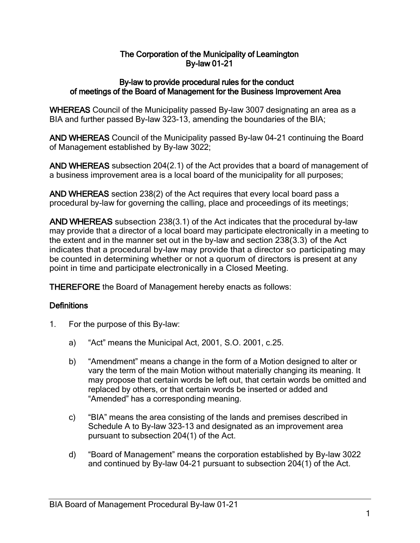# The Corporation of the Municipality of Leamington By-law 01-21

### By-law to provide procedural rules for the conduct of meetings of the Board of Management for the Business Improvement Area

WHEREAS Council of the Municipality passed By-law 3007 designating an area as a BIA and further passed By-law 323-13, amending the boundaries of the BIA;

AND WHEREAS Council of the Municipality passed By-law 04-21 continuing the Board of Management established by By-law 3022;

AND WHEREAS subsection 204(2.1) of the Act provides that a board of management of a business improvement area is a local board of the municipality for all purposes;

AND WHEREAS section 238(2) of the Act requires that every local board pass a procedural by-law for governing the calling, place and proceedings of its meetings;

AND WHEREAS subsection 238(3.1) of the Act indicates that the procedural by-law may provide that a director of a local board may participate electronically in a meeting to the extent and in the manner set out in the by-law and section 238(3.3) of the Act indicates that a procedural by-law may provide that a director so participating may be counted in determining whether or not a quorum of directors is present at any point in time and participate electronically in a Closed Meeting.

THEREFORE the Board of Management hereby enacts as follows:

# **Definitions**

- 1. For the purpose of this By-law:
	- a) "Act" means the Municipal Act, 2001, S.O. 2001, c.25.
	- b) "Amendment" means a change in the form of a Motion designed to alter or vary the term of the main Motion without materially changing its meaning. It may propose that certain words be left out, that certain words be omitted and replaced by others, or that certain words be inserted or added and "Amended" has a corresponding meaning.
	- c) "BIA" means the area consisting of the lands and premises described in Schedule A to By-law 323-13 and designated as an improvement area pursuant to subsection 204(1) of the Act.
	- d) "Board of Management" means the corporation established by By-law 3022 and continued by By-law 04-21 pursuant to subsection 204(1) of the Act.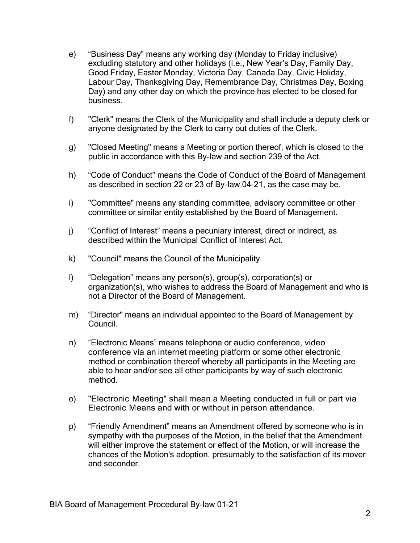- e) "Business Day" means any working day (Monday to Friday inclusive) excluding statutory and other holidays (i.e., New Year's Day, Family Day, Good Friday, Easter Monday, Victoria Day, Canada Day, Civic Holiday, Labour Day, Thanksgiving Day, Remembrance Day, Christmas Day, Boxing Day) and any other day on which the province has elected to be closed for business.
- f) "Clerk" means the Clerk of the Municipality and shall include a deputy clerk or anyone designated by the Clerk to carry out duties of the Clerk.
- g) "Closed Meeting" means a Meeting or portion thereof, which is closed to the public in accordance with this By-law and section 239 of the Act.
- h) "Code of Conduct" means the Code of Conduct of the Board of Management as described in section 22 or 23 of By-law 04-21, as the case may be.
- i) "Committee" means any standing committee, advisory committee or other committee or similar entity established by the Board of Management.
- j) "Conflict of Interest" means a pecuniary interest, direct or indirect, as described within the Municipal Conflict of Interest Act.
- k) "Council" means the Council of the Municipality.
- l) "Delegation" means any person(s), group(s), corporation(s) or organization(s), who wishes to address the Board of Management and who is not a Director of the Board of Management.
- m) "Director" means an individual appointed to the Board of Management by Council.
- n) "Electronic Means" means telephone or audio conference, video conference via an internet meeting platform or some other electronic method or combination thereof whereby all participants in the Meeting are able to hear and/or see all other participants by way of such electronic method.
- o) "Electronic Meeting" shall mean a Meeting conducted in full or part via Electronic Means and with or without in person attendance.
- p) "Friendly Amendment" means an Amendment offered by someone who is in sympathy with the purposes of the Motion, in the belief that the Amendment will either improve the statement or effect of the Motion, or will increase the chances of the Motion's adoption, presumably to the satisfaction of its mover and seconder.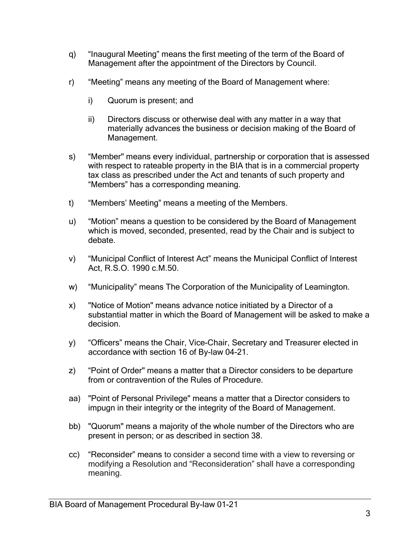- q) "Inaugural Meeting" means the first meeting of the term of the Board of Management after the appointment of the Directors by Council.
- r) "Meeting" means any meeting of the Board of Management where:
	- i) Quorum is present; and
	- ii) Directors discuss or otherwise deal with any matter in a way that materially advances the business or decision making of the Board of Management.
- s) "Member" means every individual, partnership or corporation that is assessed with respect to rateable property in the BIA that is in a commercial property tax class as prescribed under the Act and tenants of such property and "Members" has a corresponding meaning.
- t) "Members' Meeting" means a meeting of the Members.
- u) "Motion" means a question to be considered by the Board of Management which is moved, seconded, presented, read by the Chair and is subject to debate.
- v) "Municipal Conflict of Interest Act" means the Municipal Conflict of Interest Act, R.S.O. 1990 c.M.50.
- w) "Municipality" means The Corporation of the Municipality of Leamington.
- x) "Notice of Motion" means advance notice initiated by a Director of a substantial matter in which the Board of Management will be asked to make a decision.
- y) "Officers" means the Chair, Vice-Chair, Secretary and Treasurer elected in accordance with section 16 of By-law 04-21.
- z) "Point of Order" means a matter that a Director considers to be departure from or contravention of the Rules of Procedure.
- aa) "Point of Personal Privilege" means a matter that a Director considers to impugn in their integrity or the integrity of the Board of Management.
- bb) "Quorum" means a majority of the whole number of the Directors who are present in person; or as described in section 38.
- cc) "Reconsider" means to consider a second time with a view to reversing or modifying a Resolution and "Reconsideration" shall have a corresponding meaning.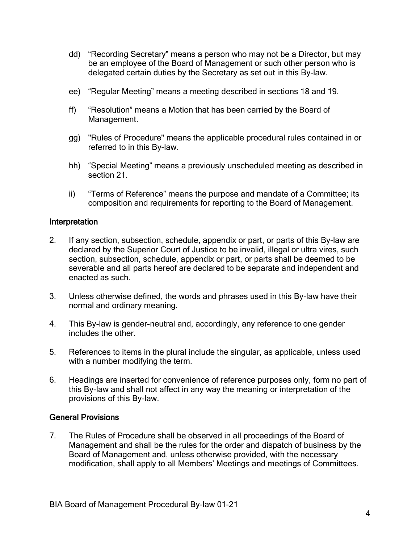- dd) "Recording Secretary" means a person who may not be a Director, but may be an employee of the Board of Management or such other person who is delegated certain duties by the Secretary as set out in this By-law.
- ee) "Regular Meeting" means a meeting described in sections 18 and 19.
- ff) "Resolution" means a Motion that has been carried by the Board of Management.
- gg) "Rules of Procedure" means the applicable procedural rules contained in or referred to in this By-law.
- hh) "Special Meeting" means a previously unscheduled meeting as described in section 21.
- ii) "Terms of Reference" means the purpose and mandate of a Committee; its composition and requirements for reporting to the Board of Management.

### Interpretation

- 2. If any section, subsection, schedule, appendix or part, or parts of this By-law are declared by the Superior Court of Justice to be invalid, illegal or ultra vires, such section, subsection, schedule, appendix or part, or parts shall be deemed to be severable and all parts hereof are declared to be separate and independent and enacted as such.
- 3. Unless otherwise defined, the words and phrases used in this By-law have their normal and ordinary meaning.
- 4. This By-law is gender-neutral and, accordingly, any reference to one gender includes the other.
- 5. References to items in the plural include the singular, as applicable, unless used with a number modifying the term.
- 6. Headings are inserted for convenience of reference purposes only, form no part of this By-law and shall not affect in any way the meaning or interpretation of the provisions of this By-law.

# General Provisions

7. The Rules of Procedure shall be observed in all proceedings of the Board of Management and shall be the rules for the order and dispatch of business by the Board of Management and, unless otherwise provided, with the necessary modification, shall apply to all Members' Meetings and meetings of Committees.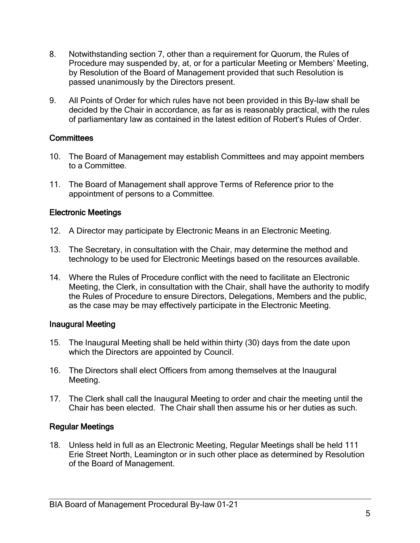- 8. Notwithstanding section 7, other than a requirement for Quorum, the Rules of Procedure may suspended by, at, or for a particular Meeting or Members' Meeting, by Resolution of the Board of Management provided that such Resolution is passed unanimously by the Directors present.
- 9. All Points of Order for which rules have not been provided in this By-law shall be decided by the Chair in accordance, as far as is reasonably practical, with the rules of parliamentary law as contained in the latest edition of Robert's Rules of Order.

# **Committees**

- 10. The Board of Management may establish Committees and may appoint members to a Committee.
- 11. The Board of Management shall approve Terms of Reference prior to the appointment of persons to a Committee.

### Electronic Meetings

- 12. A Director may participate by Electronic Means in an Electronic Meeting.
- 13. The Secretary, in consultation with the Chair, may determine the method and technology to be used for Electronic Meetings based on the resources available.
- 14. Where the Rules of Procedure conflict with the need to facilitate an Electronic Meeting, the Clerk, in consultation with the Chair, shall have the authority to modify the Rules of Procedure to ensure Directors, Delegations, Members and the public, as the case may be may effectively participate in the Electronic Meeting.

### Inaugural Meeting

- 15. The Inaugural Meeting shall be held within thirty (30) days from the date upon which the Directors are appointed by Council.
- 16. The Directors shall elect Officers from among themselves at the Inaugural Meeting.
- 17. The Clerk shall call the Inaugural Meeting to order and chair the meeting until the Chair has been elected. The Chair shall then assume his or her duties as such.

# Regular Meetings

18. Unless held in full as an Electronic Meeting, Regular Meetings shall be held 111 Erie Street North, Leamington or in such other place as determined by Resolution of the Board of Management.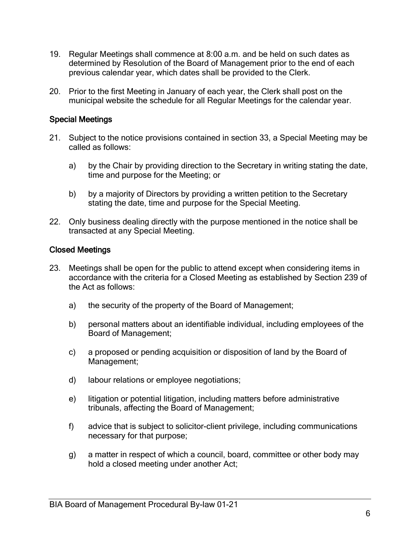- 19. Regular Meetings shall commence at 8:00 a.m. and be held on such dates as determined by Resolution of the Board of Management prior to the end of each previous calendar year, which dates shall be provided to the Clerk.
- 20. Prior to the first Meeting in January of each year, the Clerk shall post on the municipal website the schedule for all Regular Meetings for the calendar year.

# Special Meetings

- 21. Subject to the notice provisions contained in section 33, a Special Meeting may be called as follows:
	- a) by the Chair by providing direction to the Secretary in writing stating the date, time and purpose for the Meeting; or
	- b) by a majority of Directors by providing a written petition to the Secretary stating the date, time and purpose for the Special Meeting.
- 22. Only business dealing directly with the purpose mentioned in the notice shall be transacted at any Special Meeting.

### Closed Meetings

- 23. Meetings shall be open for the public to attend except when considering items in accordance with the criteria for a Closed Meeting as established by Section 239 of the Act as follows:
	- a) the security of the property of the Board of Management;
	- b) personal matters about an identifiable individual, including employees of the Board of Management;
	- c) a proposed or pending acquisition or disposition of land by the Board of Management;
	- d) labour relations or employee negotiations;
	- e) litigation or potential litigation, including matters before administrative tribunals, affecting the Board of Management;
	- f) advice that is subject to solicitor-client privilege, including communications necessary for that purpose;
	- g) a matter in respect of which a council, board, committee or other body may hold a closed meeting under another Act;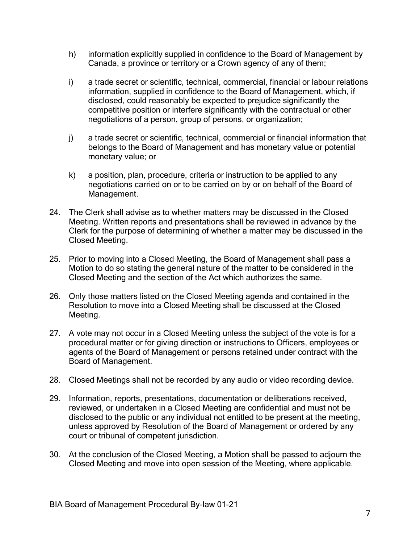- h) information explicitly supplied in confidence to the Board of Management by Canada, a province or territory or a Crown agency of any of them;
- i) a trade secret or scientific, technical, commercial, financial or labour relations information, supplied in confidence to the Board of Management, which, if disclosed, could reasonably be expected to prejudice significantly the competitive position or interfere significantly with the contractual or other negotiations of a person, group of persons, or organization;
- j) a trade secret or scientific, technical, commercial or financial information that belongs to the Board of Management and has monetary value or potential monetary value; or
- k) a position, plan, procedure, criteria or instruction to be applied to any negotiations carried on or to be carried on by or on behalf of the Board of Management.
- 24. The Clerk shall advise as to whether matters may be discussed in the Closed Meeting. Written reports and presentations shall be reviewed in advance by the Clerk for the purpose of determining of whether a matter may be discussed in the Closed Meeting.
- 25. Prior to moving into a Closed Meeting, the Board of Management shall pass a Motion to do so stating the general nature of the matter to be considered in the Closed Meeting and the section of the Act which authorizes the same.
- 26. Only those matters listed on the Closed Meeting agenda and contained in the Resolution to move into a Closed Meeting shall be discussed at the Closed Meeting.
- 27. A vote may not occur in a Closed Meeting unless the subject of the vote is for a procedural matter or for giving direction or instructions to Officers, employees or agents of the Board of Management or persons retained under contract with the Board of Management.
- 28. Closed Meetings shall not be recorded by any audio or video recording device.
- 29. Information, reports, presentations, documentation or deliberations received, reviewed, or undertaken in a Closed Meeting are confidential and must not be disclosed to the public or any individual not entitled to be present at the meeting, unless approved by Resolution of the Board of Management or ordered by any court or tribunal of competent jurisdiction.
- 30. At the conclusion of the Closed Meeting, a Motion shall be passed to adjourn the Closed Meeting and move into open session of the Meeting, where applicable.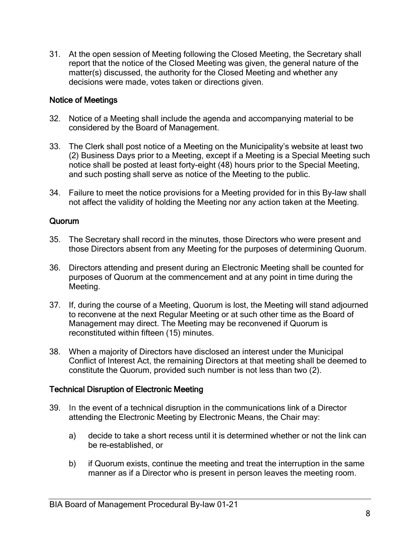31. At the open session of Meeting following the Closed Meeting, the Secretary shall report that the notice of the Closed Meeting was given, the general nature of the matter(s) discussed, the authority for the Closed Meeting and whether any decisions were made, votes taken or directions given.

# Notice of Meetings

- 32. Notice of a Meeting shall include the agenda and accompanying material to be considered by the Board of Management.
- 33. The Clerk shall post notice of a Meeting on the Municipality's website at least two (2) Business Days prior to a Meeting, except if a Meeting is a Special Meeting such notice shall be posted at least forty-eight (48) hours prior to the Special Meeting, and such posting shall serve as notice of the Meeting to the public.
- 34. Failure to meet the notice provisions for a Meeting provided for in this By-law shall not affect the validity of holding the Meeting nor any action taken at the Meeting.

### Quorum

- 35. The Secretary shall record in the minutes, those Directors who were present and those Directors absent from any Meeting for the purposes of determining Quorum.
- 36. Directors attending and present during an Electronic Meeting shall be counted for purposes of Quorum at the commencement and at any point in time during the Meeting.
- 37. If, during the course of a Meeting, Quorum is lost, the Meeting will stand adjourned to reconvene at the next Regular Meeting or at such other time as the Board of Management may direct. The Meeting may be reconvened if Quorum is reconstituted within fifteen (15) minutes.
- 38. When a majority of Directors have disclosed an interest under the Municipal Conflict of Interest Act, the remaining Directors at that meeting shall be deemed to constitute the Quorum, provided such number is not less than two (2).

### Technical Disruption of Electronic Meeting

- 39. In the event of a technical disruption in the communications link of a Director attending the Electronic Meeting by Electronic Means, the Chair may:
	- a) decide to take a short recess until it is determined whether or not the link can be re-established, or
	- b) if Quorum exists, continue the meeting and treat the interruption in the same manner as if a Director who is present in person leaves the meeting room.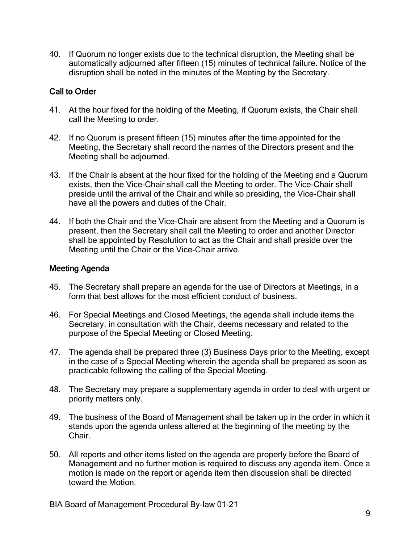40. If Quorum no longer exists due to the technical disruption, the Meeting shall be automatically adjourned after fifteen (15) minutes of technical failure. Notice of the disruption shall be noted in the minutes of the Meeting by the Secretary.

# Call to Order

- 41. At the hour fixed for the holding of the Meeting, if Quorum exists, the Chair shall call the Meeting to order.
- 42. If no Quorum is present fifteen (15) minutes after the time appointed for the Meeting, the Secretary shall record the names of the Directors present and the Meeting shall be adjourned.
- 43. If the Chair is absent at the hour fixed for the holding of the Meeting and a Quorum exists, then the Vice-Chair shall call the Meeting to order. The Vice-Chair shall preside until the arrival of the Chair and while so presiding, the Vice-Chair shall have all the powers and duties of the Chair.
- 44. If both the Chair and the Vice-Chair are absent from the Meeting and a Quorum is present, then the Secretary shall call the Meeting to order and another Director shall be appointed by Resolution to act as the Chair and shall preside over the Meeting until the Chair or the Vice-Chair arrive.

# Meeting Agenda

- 45. The Secretary shall prepare an agenda for the use of Directors at Meetings, in a form that best allows for the most efficient conduct of business.
- 46. For Special Meetings and Closed Meetings, the agenda shall include items the Secretary, in consultation with the Chair, deems necessary and related to the purpose of the Special Meeting or Closed Meeting.
- 47. The agenda shall be prepared three (3) Business Days prior to the Meeting, except in the case of a Special Meeting wherein the agenda shall be prepared as soon as practicable following the calling of the Special Meeting.
- 48. The Secretary may prepare a supplementary agenda in order to deal with urgent or priority matters only.
- 49. The business of the Board of Management shall be taken up in the order in which it stands upon the agenda unless altered at the beginning of the meeting by the Chair.
- 50. All reports and other items listed on the agenda are properly before the Board of Management and no further motion is required to discuss any agenda item. Once a motion is made on the report or agenda item then discussion shall be directed toward the Motion.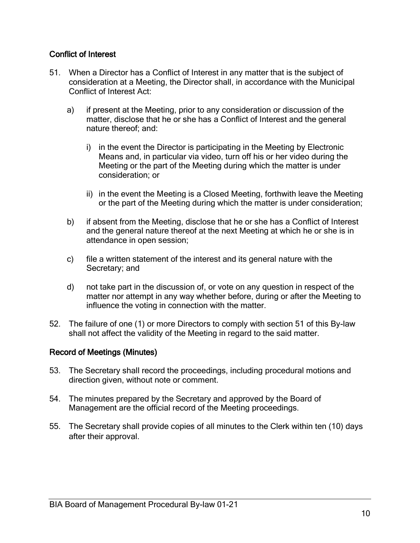# Conflict of Interest

- 51. When a Director has a Conflict of Interest in any matter that is the subject of consideration at a Meeting, the Director shall, in accordance with the Municipal Conflict of Interest Act:
	- a) if present at the Meeting, prior to any consideration or discussion of the matter, disclose that he or she has a Conflict of Interest and the general nature thereof; and:
		- i) in the event the Director is participating in the Meeting by Electronic Means and, in particular via video, turn off his or her video during the Meeting or the part of the Meeting during which the matter is under consideration; or
		- ii) in the event the Meeting is a Closed Meeting, forthwith leave the Meeting or the part of the Meeting during which the matter is under consideration;
	- b) if absent from the Meeting, disclose that he or she has a Conflict of Interest and the general nature thereof at the next Meeting at which he or she is in attendance in open session;
	- c) file a written statement of the interest and its general nature with the Secretary; and
	- d) not take part in the discussion of, or vote on any question in respect of the matter nor attempt in any way whether before, during or after the Meeting to influence the voting in connection with the matter.
- 52. The failure of one (1) or more Directors to comply with section 51 of this By-law shall not affect the validity of the Meeting in regard to the said matter.

# Record of Meetings (Minutes)

- 53. The Secretary shall record the proceedings, including procedural motions and direction given, without note or comment.
- 54. The minutes prepared by the Secretary and approved by the Board of Management are the official record of the Meeting proceedings.
- 55. The Secretary shall provide copies of all minutes to the Clerk within ten (10) days after their approval.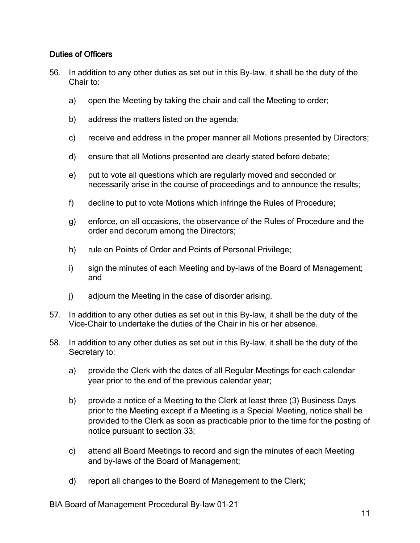# Duties of Officers

- 56. In addition to any other duties as set out in this By-law, it shall be the duty of the Chair to:
	- a) open the Meeting by taking the chair and call the Meeting to order;
	- b) address the matters listed on the agenda;
	- c) receive and address in the proper manner all Motions presented by Directors;
	- d) ensure that all Motions presented are clearly stated before debate;
	- e) put to vote all questions which are regularly moved and seconded or necessarily arise in the course of proceedings and to announce the results;
	- f) decline to put to vote Motions which infringe the Rules of Procedure;
	- g) enforce, on all occasions, the observance of the Rules of Procedure and the order and decorum among the Directors;
	- h) rule on Points of Order and Points of Personal Privilege;
	- i) sign the minutes of each Meeting and by-laws of the Board of Management; and
	- j) adjourn the Meeting in the case of disorder arising.
- 57. In addition to any other duties as set out in this By-law, it shall be the duty of the Vice-Chair to undertake the duties of the Chair in his or her absence.
- 58. In addition to any other duties as set out in this By-law, it shall be the duty of the Secretary to:
	- a) provide the Clerk with the dates of all Regular Meetings for each calendar year prior to the end of the previous calendar year;
	- b) provide a notice of a Meeting to the Clerk at least three (3) Business Days prior to the Meeting except if a Meeting is a Special Meeting, notice shall be provided to the Clerk as soon as practicable prior to the time for the posting of notice pursuant to section 33;
	- c) attend all Board Meetings to record and sign the minutes of each Meeting and by-laws of the Board of Management;
	- d) report all changes to the Board of Management to the Clerk;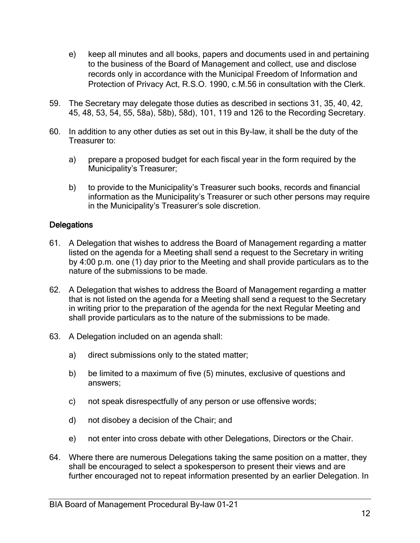- e) keep all minutes and all books, papers and documents used in and pertaining to the business of the Board of Management and collect, use and disclose records only in accordance with the Municipal Freedom of Information and Protection of Privacy Act, R.S.O. 1990, c.M.56 in consultation with the Clerk.
- 59. The Secretary may delegate those duties as described in sections 31, 35, 40, 42, 45, 48, 53, 54, 55, 58a), 58b), 58d), 101, 119 and 126 to the Recording Secretary.
- 60. In addition to any other duties as set out in this By-law, it shall be the duty of the Treasurer to:
	- a) prepare a proposed budget for each fiscal year in the form required by the Municipality's Treasurer;
	- b) to provide to the Municipality's Treasurer such books, records and financial information as the Municipality's Treasurer or such other persons may require in the Municipality's Treasurer's sole discretion.

# **Delegations**

- 61. A Delegation that wishes to address the Board of Management regarding a matter listed on the agenda for a Meeting shall send a request to the Secretary in writing by 4:00 p.m. one (1) day prior to the Meeting and shall provide particulars as to the nature of the submissions to be made.
- 62. A Delegation that wishes to address the Board of Management regarding a matter that is not listed on the agenda for a Meeting shall send a request to the Secretary in writing prior to the preparation of the agenda for the next Regular Meeting and shall provide particulars as to the nature of the submissions to be made.
- 63. A Delegation included on an agenda shall:
	- a) direct submissions only to the stated matter;
	- b) be limited to a maximum of five (5) minutes, exclusive of questions and answers;
	- c) not speak disrespectfully of any person or use offensive words;
	- d) not disobey a decision of the Chair; and
	- e) not enter into cross debate with other Delegations, Directors or the Chair.
- 64. Where there are numerous Delegations taking the same position on a matter, they shall be encouraged to select a spokesperson to present their views and are further encouraged not to repeat information presented by an earlier Delegation. In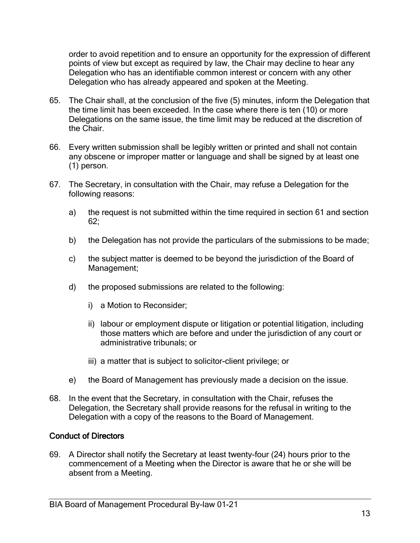order to avoid repetition and to ensure an opportunity for the expression of different points of view but except as required by law, the Chair may decline to hear any Delegation who has an identifiable common interest or concern with any other Delegation who has already appeared and spoken at the Meeting.

- 65. The Chair shall, at the conclusion of the five (5) minutes, inform the Delegation that the time limit has been exceeded. In the case where there is ten (10) or more Delegations on the same issue, the time limit may be reduced at the discretion of the Chair.
- 66. Every written submission shall be legibly written or printed and shall not contain any obscene or improper matter or language and shall be signed by at least one (1) person.
- 67. The Secretary, in consultation with the Chair, may refuse a Delegation for the following reasons:
	- a) the request is not submitted within the time required in section 61 and section 62;
	- b) the Delegation has not provide the particulars of the submissions to be made;
	- c) the subject matter is deemed to be beyond the jurisdiction of the Board of Management;
	- d) the proposed submissions are related to the following:
		- i) a Motion to Reconsider;
		- ii) labour or employment dispute or litigation or potential litigation, including those matters which are before and under the jurisdiction of any court or administrative tribunals; or
		- iii) a matter that is subject to solicitor-client privilege; or
	- e) the Board of Management has previously made a decision on the issue.
- 68. In the event that the Secretary, in consultation with the Chair, refuses the Delegation, the Secretary shall provide reasons for the refusal in writing to the Delegation with a copy of the reasons to the Board of Management.

# Conduct of Directors

69. A Director shall notify the Secretary at least twenty-four (24) hours prior to the commencement of a Meeting when the Director is aware that he or she will be absent from a Meeting.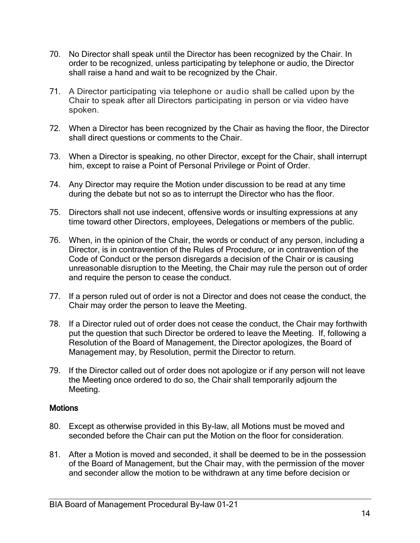- 70. No Director shall speak until the Director has been recognized by the Chair. In order to be recognized, unless participating by telephone or audio, the Director shall raise a hand and wait to be recognized by the Chair.
- 71. A Director participating via telephone or audio shall be called upon by the Chair to speak after all Directors participating in person or via video have spoken.
- 72. When a Director has been recognized by the Chair as having the floor, the Director shall direct questions or comments to the Chair.
- 73. When a Director is speaking, no other Director, except for the Chair, shall interrupt him, except to raise a Point of Personal Privilege or Point of Order.
- 74. Any Director may require the Motion under discussion to be read at any time during the debate but not so as to interrupt the Director who has the floor.
- 75. Directors shall not use indecent, offensive words or insulting expressions at any time toward other Directors, employees, Delegations or members of the public.
- 76. When, in the opinion of the Chair, the words or conduct of any person, including a Director, is in contravention of the Rules of Procedure, or in contravention of the Code of Conduct or the person disregards a decision of the Chair or is causing unreasonable disruption to the Meeting, the Chair may rule the person out of order and require the person to cease the conduct.
- 77. If a person ruled out of order is not a Director and does not cease the conduct, the Chair may order the person to leave the Meeting.
- 78. If a Director ruled out of order does not cease the conduct, the Chair may forthwith put the question that such Director be ordered to leave the Meeting. If, following a Resolution of the Board of Management, the Director apologizes, the Board of Management may, by Resolution, permit the Director to return.
- 79. If the Director called out of order does not apologize or if any person will not leave the Meeting once ordered to do so, the Chair shall temporarily adjourn the Meeting.

### **Motions**

- 80. Except as otherwise provided in this By-law, all Motions must be moved and seconded before the Chair can put the Motion on the floor for consideration.
- 81. After a Motion is moved and seconded, it shall be deemed to be in the possession of the Board of Management, but the Chair may, with the permission of the mover and seconder allow the motion to be withdrawn at any time before decision or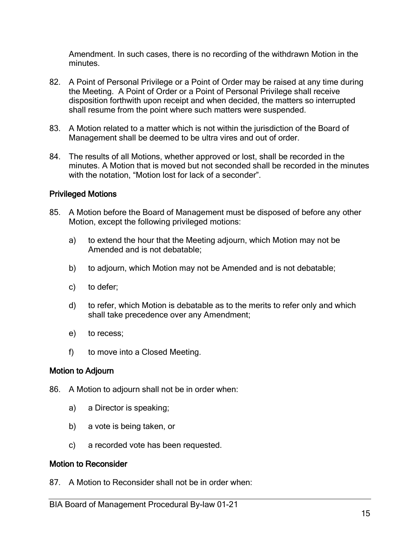Amendment. In such cases, there is no recording of the withdrawn Motion in the minutes.

- 82. A Point of Personal Privilege or a Point of Order may be raised at any time during the Meeting. A Point of Order or a Point of Personal Privilege shall receive disposition forthwith upon receipt and when decided, the matters so interrupted shall resume from the point where such matters were suspended.
- 83. A Motion related to a matter which is not within the jurisdiction of the Board of Management shall be deemed to be ultra vires and out of order.
- 84. The results of all Motions, whether approved or lost, shall be recorded in the minutes. A Motion that is moved but not seconded shall be recorded in the minutes with the notation, "Motion lost for lack of a seconder".

# Privileged Motions

- 85. A Motion before the Board of Management must be disposed of before any other Motion, except the following privileged motions:
	- a) to extend the hour that the Meeting adjourn, which Motion may not be Amended and is not debatable;
	- b) to adjourn, which Motion may not be Amended and is not debatable;
	- c) to defer;
	- d) to refer, which Motion is debatable as to the merits to refer only and which shall take precedence over any Amendment;
	- e) to recess;
	- f) to move into a Closed Meeting.

# Motion to Adjourn

- 86. A Motion to adjourn shall not be in order when:
	- a) a Director is speaking;
	- b) a vote is being taken, or
	- c) a recorded vote has been requested.

### Motion to Reconsider

87. A Motion to Reconsider shall not be in order when: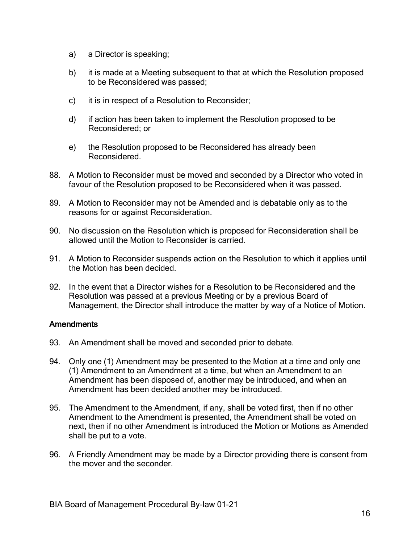- a) a Director is speaking;
- b) it is made at a Meeting subsequent to that at which the Resolution proposed to be Reconsidered was passed;
- c) it is in respect of a Resolution to Reconsider;
- d) if action has been taken to implement the Resolution proposed to be Reconsidered; or
- e) the Resolution proposed to be Reconsidered has already been Reconsidered.
- 88. A Motion to Reconsider must be moved and seconded by a Director who voted in favour of the Resolution proposed to be Reconsidered when it was passed.
- 89. A Motion to Reconsider may not be Amended and is debatable only as to the reasons for or against Reconsideration.
- 90. No discussion on the Resolution which is proposed for Reconsideration shall be allowed until the Motion to Reconsider is carried.
- 91. A Motion to Reconsider suspends action on the Resolution to which it applies until the Motion has been decided.
- 92. In the event that a Director wishes for a Resolution to be Reconsidered and the Resolution was passed at a previous Meeting or by a previous Board of Management, the Director shall introduce the matter by way of a Notice of Motion.

# **Amendments**

- 93. An Amendment shall be moved and seconded prior to debate.
- 94. Only one (1) Amendment may be presented to the Motion at a time and only one (1) Amendment to an Amendment at a time, but when an Amendment to an Amendment has been disposed of, another may be introduced, and when an Amendment has been decided another may be introduced.
- 95. The Amendment to the Amendment, if any, shall be voted first, then if no other Amendment to the Amendment is presented, the Amendment shall be voted on next, then if no other Amendment is introduced the Motion or Motions as Amended shall be put to a vote.
- 96. A Friendly Amendment may be made by a Director providing there is consent from the mover and the seconder.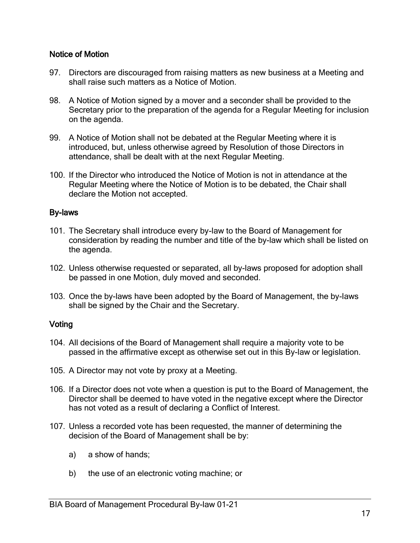# Notice of Motion

- 97. Directors are discouraged from raising matters as new business at a Meeting and shall raise such matters as a Notice of Motion.
- 98. A Notice of Motion signed by a mover and a seconder shall be provided to the Secretary prior to the preparation of the agenda for a Regular Meeting for inclusion on the agenda.
- 99. A Notice of Motion shall not be debated at the Regular Meeting where it is introduced, but, unless otherwise agreed by Resolution of those Directors in attendance, shall be dealt with at the next Regular Meeting.
- 100. If the Director who introduced the Notice of Motion is not in attendance at the Regular Meeting where the Notice of Motion is to be debated, the Chair shall declare the Motion not accepted.

### By-laws

- 101. The Secretary shall introduce every by-law to the Board of Management for consideration by reading the number and title of the by-law which shall be listed on the agenda.
- 102. Unless otherwise requested or separated, all by-laws proposed for adoption shall be passed in one Motion, duly moved and seconded.
- 103. Once the by-laws have been adopted by the Board of Management, the by-laws shall be signed by the Chair and the Secretary.

# **Voting**

- 104. All decisions of the Board of Management shall require a majority vote to be passed in the affirmative except as otherwise set out in this By-law or legislation.
- 105. A Director may not vote by proxy at a Meeting.
- 106. If a Director does not vote when a question is put to the Board of Management, the Director shall be deemed to have voted in the negative except where the Director has not voted as a result of declaring a Conflict of Interest.
- 107. Unless a recorded vote has been requested, the manner of determining the decision of the Board of Management shall be by:
	- a) a show of hands;
	- b) the use of an electronic voting machine; or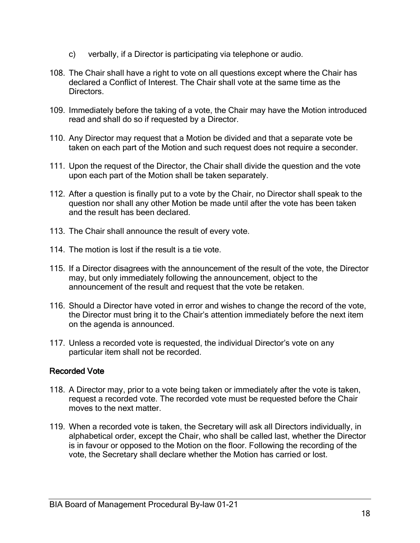- c) verbally, if a Director is participating via telephone or audio.
- 108. The Chair shall have a right to vote on all questions except where the Chair has declared a Conflict of Interest. The Chair shall vote at the same time as the Directors.
- 109. Immediately before the taking of a vote, the Chair may have the Motion introduced read and shall do so if requested by a Director.
- 110. Any Director may request that a Motion be divided and that a separate vote be taken on each part of the Motion and such request does not require a seconder.
- 111. Upon the request of the Director, the Chair shall divide the question and the vote upon each part of the Motion shall be taken separately.
- 112. After a question is finally put to a vote by the Chair, no Director shall speak to the question nor shall any other Motion be made until after the vote has been taken and the result has been declared.
- 113. The Chair shall announce the result of every vote.
- 114. The motion is lost if the result is a tie vote.
- 115. If a Director disagrees with the announcement of the result of the vote, the Director may, but only immediately following the announcement, object to the announcement of the result and request that the vote be retaken.
- 116. Should a Director have voted in error and wishes to change the record of the vote, the Director must bring it to the Chair's attention immediately before the next item on the agenda is announced.
- 117. Unless a recorded vote is requested, the individual Director's vote on any particular item shall not be recorded.

# Recorded Vote

- 118. A Director may, prior to a vote being taken or immediately after the vote is taken, request a recorded vote. The recorded vote must be requested before the Chair moves to the next matter.
- 119. When a recorded vote is taken, the Secretary will ask all Directors individually, in alphabetical order, except the Chair, who shall be called last, whether the Director is in favour or opposed to the Motion on the floor. Following the recording of the vote, the Secretary shall declare whether the Motion has carried or lost.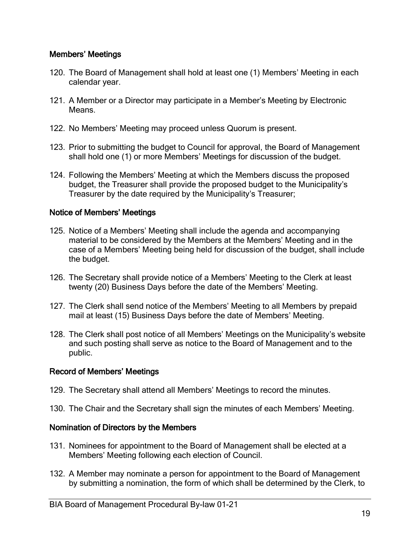# Members' Meetings

- 120. The Board of Management shall hold at least one (1) Members' Meeting in each calendar year.
- 121. A Member or a Director may participate in a Member's Meeting by Electronic Means.
- 122. No Members' Meeting may proceed unless Quorum is present.
- 123. Prior to submitting the budget to Council for approval, the Board of Management shall hold one (1) or more Members' Meetings for discussion of the budget.
- 124. Following the Members' Meeting at which the Members discuss the proposed budget, the Treasurer shall provide the proposed budget to the Municipality's Treasurer by the date required by the Municipality's Treasurer;

### Notice of Members' Meetings

- 125. Notice of a Members' Meeting shall include the agenda and accompanying material to be considered by the Members at the Members' Meeting and in the case of a Members' Meeting being held for discussion of the budget, shall include the budget.
- 126. The Secretary shall provide notice of a Members' Meeting to the Clerk at least twenty (20) Business Days before the date of the Members' Meeting.
- 127. The Clerk shall send notice of the Members' Meeting to all Members by prepaid mail at least (15) Business Days before the date of Members' Meeting.
- 128. The Clerk shall post notice of all Members' Meetings on the Municipality's website and such posting shall serve as notice to the Board of Management and to the public.

# Record of Members' Meetings

- 129. The Secretary shall attend all Members' Meetings to record the minutes.
- 130. The Chair and the Secretary shall sign the minutes of each Members' Meeting.

# Nomination of Directors by the Members

- 131. Nominees for appointment to the Board of Management shall be elected at a Members' Meeting following each election of Council.
- 132. A Member may nominate a person for appointment to the Board of Management by submitting a nomination, the form of which shall be determined by the Clerk, to